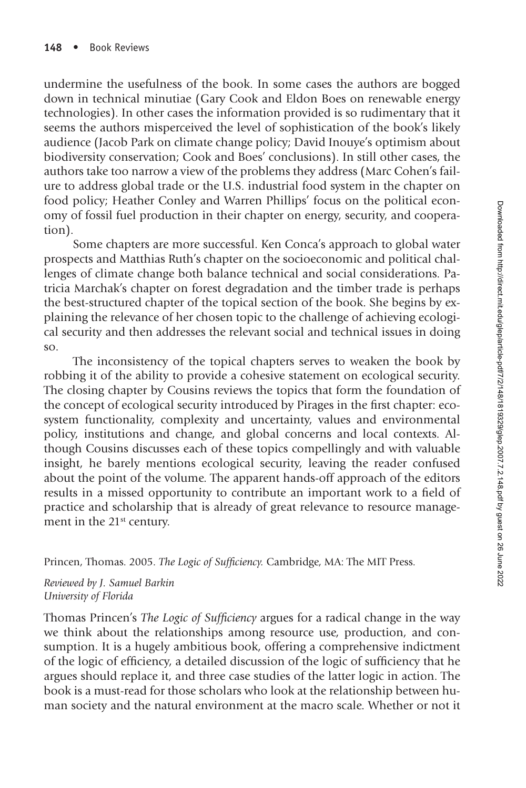undermine the usefulness of the book. In some cases the authors are bogged down in technical minutiae (Gary Cook and Eldon Boes on renewable energy technologies). In other cases the information provided is so rudimentary that it seems the authors misperceived the level of sophistication of the book's likely audience (Jacob Park on climate change policy; David Inouye's optimism about biodiversity conservation; Cook and Boes' conclusions). In still other cases, the authors take too narrow a view of the problems they address (Marc Cohen's failure to address global trade or the U.S. industrial food system in the chapter on food policy; Heather Conley and Warren Phillips' focus on the political economy of fossil fuel production in their chapter on energy, security, and cooperation).

Some chapters are more successful. Ken Conca's approach to global water prospects and Matthias Ruth's chapter on the socioeconomic and political challenges of climate change both balance technical and social considerations. Patricia Marchak's chapter on forest degradation and the timber trade is perhaps the best-structured chapter of the topical section of the book. She begins by explaining the relevance of her chosen topic to the challenge of achieving ecological security and then addresses the relevant social and technical issues in doing so.

The inconsistency of the topical chapters serves to weaken the book by robbing it of the ability to provide a cohesive statement on ecological security. The closing chapter by Cousins reviews the topics that form the foundation of the concept of ecological security introduced by Pirages in the first chapter: ecosystem functionality, complexity and uncertainty, values and environmental policy, institutions and change, and global concerns and local contexts. Although Cousins discusses each of these topics compellingly and with valuable insight, he barely mentions ecological security, leaving the reader confused about the point of the volume. The apparent hands-off approach of the editors results in a missed opportunity to contribute an important work to a field of practice and scholarship that is already of great relevance to resource management in the 21<sup>st</sup> century.

Princen, Thomas. 2005. *The Logic of Sufficiency*. Cambridge, MA: The MIT Press.

*Reviewed by J. Samuel Barkin University of Florida*

Thomas Princen's *The Logic of Sufficiency* argues for a radical change in the way we think about the relationships among resource use, production, and consumption. It is a hugely ambitious book, offering a comprehensive indictment of the logic of efficiency, a detailed discussion of the logic of sufficiency that he argues should replace it, and three case studies of the latter logic in action. The book is a must-read for those scholars who look at the relationship between human society and the natural environment at the macro scale. Whether or not it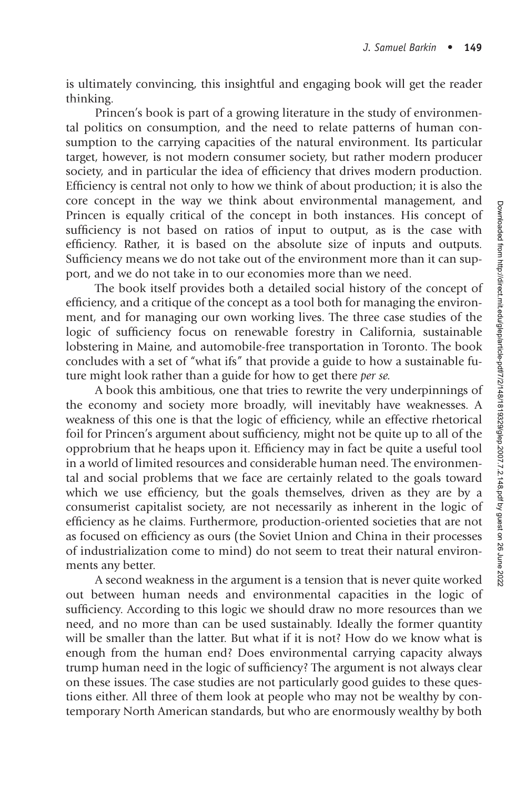is ultimately convincing, this insightful and engaging book will get the reader thinking.

Princen's book is part of a growing literature in the study of environmental politics on consumption, and the need to relate patterns of human consumption to the carrying capacities of the natural environment. Its particular target, however, is not modern consumer society, but rather modern producer society, and in particular the idea of efficiency that drives modern production. Efficiency is central not only to how we think of about production; it is also the core concept in the way we think about environmental management, and Princen is equally critical of the concept in both instances. His concept of sufficiency is not based on ratios of input to output, as is the case with efficiency. Rather, it is based on the absolute size of inputs and outputs. Sufficiency means we do not take out of the environment more than it can support, and we do not take in to our economies more than we need.

The book itself provides both a detailed social history of the concept of efficiency, and a critique of the concept as a tool both for managing the environment, and for managing our own working lives. The three case studies of the logic of sufficiency focus on renewable forestry in California, sustainable lobstering in Maine, and automobile-free transportation in Toronto. The book concludes with a set of "what ifs" that provide a guide to how a sustainable future might look rather than a guide for how to get there *per se.*

A book this ambitious, one that tries to rewrite the very underpinnings of the economy and society more broadly, will inevitably have weaknesses. A weakness of this one is that the logic of efficiency, while an effective rhetorical foil for Princen's argument about sufficiency, might not be quite up to all of the opprobrium that he heaps upon it. Efficiency may in fact be quite a useful tool in a world of limited resources and considerable human need. The environmental and social problems that we face are certainly related to the goals toward which we use efficiency, but the goals themselves, driven as they are by a consumerist capitalist society, are not necessarily as inherent in the logic of efficiency as he claims. Furthermore, production-oriented societies that are not as focused on efficiency as ours (the Soviet Union and China in their processes of industrialization come to mind) do not seem to treat their natural environments any better.

A second weakness in the argument is a tension that is never quite worked out between human needs and environmental capacities in the logic of sufficiency. According to this logic we should draw no more resources than we need, and no more than can be used sustainably. Ideally the former quantity will be smaller than the latter. But what if it is not? How do we know what is enough from the human end? Does environmental carrying capacity always trump human need in the logic of sufficiency? The argument is not always clear on these issues. The case studies are not particularly good guides to these questions either. All three of them look at people who may not be wealthy by contemporary North American standards, but who are enormously wealthy by both